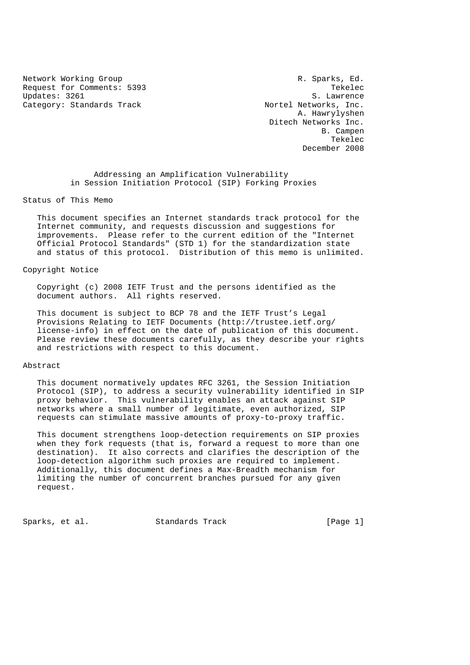Network Working Group **R. Sparks, Ed.** And Metwork Working Group Request for Comments: 5393 Tekelec Updates: 3261 S. Lawrence Category: Standards Track Nortel Networks, Inc.

 A. Hawrylyshen Ditech Networks Inc. B. Campen Tekelectric and the contract of the contract of the contract of the contract of the contract of the contract of the contract of the contract of the contract of the contract of the contract of the contract of the contract o December 2008

> Addressing an Amplification Vulnerability in Session Initiation Protocol (SIP) Forking Proxies

Status of This Memo

 This document specifies an Internet standards track protocol for the Internet community, and requests discussion and suggestions for improvements. Please refer to the current edition of the "Internet Official Protocol Standards" (STD 1) for the standardization state and status of this protocol. Distribution of this memo is unlimited.

#### Copyright Notice

 Copyright (c) 2008 IETF Trust and the persons identified as the document authors. All rights reserved.

 This document is subject to BCP 78 and the IETF Trust's Legal Provisions Relating to IETF Documents (http://trustee.ietf.org/ license-info) in effect on the date of publication of this document. Please review these documents carefully, as they describe your rights and restrictions with respect to this document.

## Abstract

 This document normatively updates RFC 3261, the Session Initiation Protocol (SIP), to address a security vulnerability identified in SIP proxy behavior. This vulnerability enables an attack against SIP networks where a small number of legitimate, even authorized, SIP requests can stimulate massive amounts of proxy-to-proxy traffic.

 This document strengthens loop-detection requirements on SIP proxies when they fork requests (that is, forward a request to more than one destination). It also corrects and clarifies the description of the loop-detection algorithm such proxies are required to implement. Additionally, this document defines a Max-Breadth mechanism for limiting the number of concurrent branches pursued for any given request.

Sparks, et al. Standards Track [Page 1]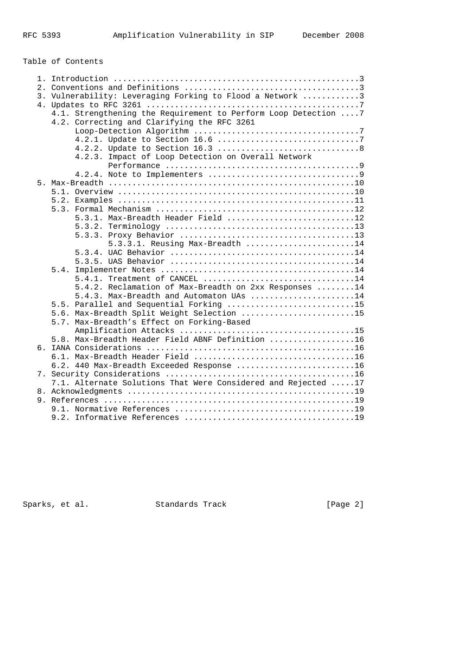# Table of Contents

|    | 3. Vulnerability: Leveraging Forking to Flood a Network 3                             |  |  |
|----|---------------------------------------------------------------------------------------|--|--|
| 4. |                                                                                       |  |  |
|    | 4.1. Strengthening the Requirement to Perform Loop Detection  7                       |  |  |
|    | 4.2. Correcting and Clarifying the RFC 3261                                           |  |  |
|    |                                                                                       |  |  |
|    |                                                                                       |  |  |
|    |                                                                                       |  |  |
|    | 4.2.3. Impact of Loop Detection on Overall Network                                    |  |  |
|    |                                                                                       |  |  |
|    |                                                                                       |  |  |
|    |                                                                                       |  |  |
|    |                                                                                       |  |  |
|    |                                                                                       |  |  |
|    |                                                                                       |  |  |
|    | 5.3.1. Max-Breadth Header Field 12                                                    |  |  |
|    |                                                                                       |  |  |
|    |                                                                                       |  |  |
|    |                                                                                       |  |  |
|    | $5.3.3.1$ . Reusing Max-Breadth 14                                                    |  |  |
|    |                                                                                       |  |  |
|    |                                                                                       |  |  |
|    |                                                                                       |  |  |
|    | 5.4.1. Treatment of CANCEL 14                                                         |  |  |
|    | 5.4.2. Reclamation of Max-Breadth on 2xx Responses 14                                 |  |  |
|    | $5.4.3.$ Max-Breadth and Automaton UAs $\ldots \ldots \ldots \ldots \ldots \ldots 14$ |  |  |
|    | 5.5. Parallel and Sequential Forking 15                                               |  |  |
|    | 5.6. Max-Breadth Split Weight Selection 15                                            |  |  |
|    | 5.7. Max-Breadth's Effect on Forking-Based                                            |  |  |
|    |                                                                                       |  |  |
|    | 5.8. Max-Breadth Header Field ABNF Definition 16                                      |  |  |
|    |                                                                                       |  |  |
|    |                                                                                       |  |  |
|    | 6.2. 440 Max-Breadth Exceeded Response 16                                             |  |  |
|    |                                                                                       |  |  |
|    | 7.1. Alternate Solutions That Were Considered and Rejected 17                         |  |  |
|    |                                                                                       |  |  |
|    |                                                                                       |  |  |
|    |                                                                                       |  |  |
|    |                                                                                       |  |  |

Sparks, et al. Standards Track (Page 2)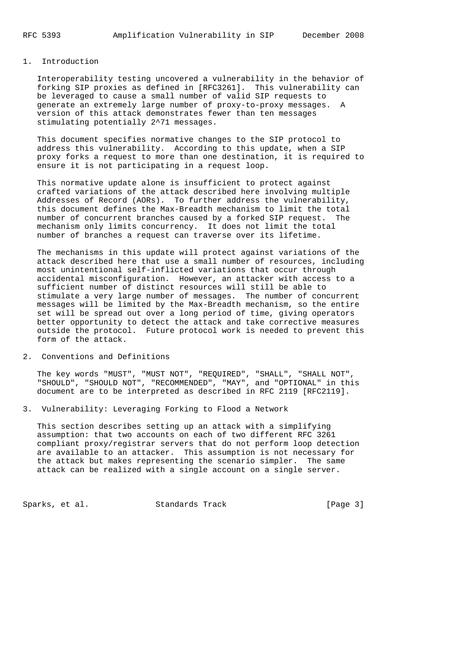# 1. Introduction

 Interoperability testing uncovered a vulnerability in the behavior of forking SIP proxies as defined in [RFC3261]. This vulnerability can be leveraged to cause a small number of valid SIP requests to generate an extremely large number of proxy-to-proxy messages. A version of this attack demonstrates fewer than ten messages stimulating potentially 2^71 messages.

 This document specifies normative changes to the SIP protocol to address this vulnerability. According to this update, when a SIP proxy forks a request to more than one destination, it is required to ensure it is not participating in a request loop.

 This normative update alone is insufficient to protect against crafted variations of the attack described here involving multiple Addresses of Record (AORs). To further address the vulnerability, this document defines the Max-Breadth mechanism to limit the total number of concurrent branches caused by a forked SIP request. The mechanism only limits concurrency. It does not limit the total number of branches a request can traverse over its lifetime.

 The mechanisms in this update will protect against variations of the attack described here that use a small number of resources, including most unintentional self-inflicted variations that occur through accidental misconfiguration. However, an attacker with access to a sufficient number of distinct resources will still be able to stimulate a very large number of messages. The number of concurrent messages will be limited by the Max-Breadth mechanism, so the entire set will be spread out over a long period of time, giving operators better opportunity to detect the attack and take corrective measures outside the protocol. Future protocol work is needed to prevent this form of the attack.

#### 2. Conventions and Definitions

 The key words "MUST", "MUST NOT", "REQUIRED", "SHALL", "SHALL NOT", "SHOULD", "SHOULD NOT", "RECOMMENDED", "MAY", and "OPTIONAL" in this document are to be interpreted as described in RFC 2119 [RFC2119].

3. Vulnerability: Leveraging Forking to Flood a Network

 This section describes setting up an attack with a simplifying assumption: that two accounts on each of two different RFC 3261 compliant proxy/registrar servers that do not perform loop detection are available to an attacker. This assumption is not necessary for the attack but makes representing the scenario simpler. The same attack can be realized with a single account on a single server.

Sparks, et al. Standards Track [Page 3]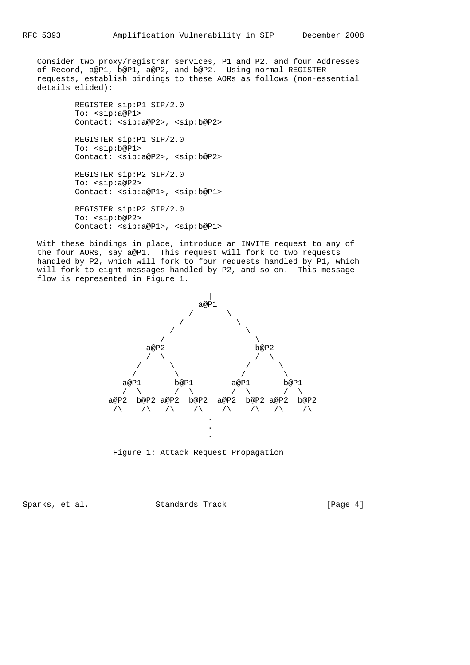Consider two proxy/registrar services, P1 and P2, and four Addresses of Record, a@P1, b@P1, a@P2, and b@P2. Using normal REGISTER requests, establish bindings to these AORs as follows (non-essential details elided):

> REGISTER sip:P1 SIP/2.0 To: <sip:a@P1> Contact: <sip:a@P2>, <sip:b@P2> REGISTER sip:P1 SIP/2.0 To: <sip:b@P1> Contact: <sip:a@P2>, <sip:b@P2> REGISTER sip:P2 SIP/2.0 To: <sip:a@P2> Contact: <sip:a@P1>, <sip:b@P1>

> REGISTER sip:P2 SIP/2.0 To: <sip:b@P2> Contact: <sip:a@P1>, <sip:b@P1>

 With these bindings in place, introduce an INVITE request to any of the four AORs, say a@P1. This request will fork to two requests handled by P2, which will fork to four requests handled by P1, which will fork to eight messages handled by P2, and so on. This message flow is represented in Figure 1.





Sparks, et al. Standards Track [Page 4]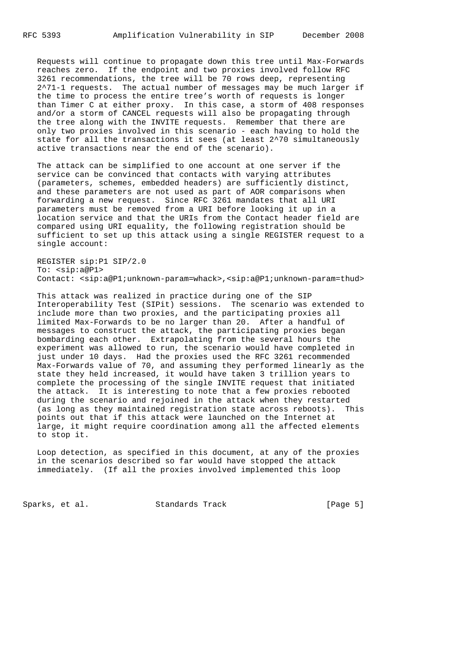Requests will continue to propagate down this tree until Max-Forwards reaches zero. If the endpoint and two proxies involved follow RFC 3261 recommendations, the tree will be 70 rows deep, representing 2^71-1 requests. The actual number of messages may be much larger if the time to process the entire tree's worth of requests is longer than Timer C at either proxy. In this case, a storm of 408 responses and/or a storm of CANCEL requests will also be propagating through the tree along with the INVITE requests. Remember that there are only two proxies involved in this scenario - each having to hold the state for all the transactions it sees (at least 2^70 simultaneously active transactions near the end of the scenario).

 The attack can be simplified to one account at one server if the service can be convinced that contacts with varying attributes (parameters, schemes, embedded headers) are sufficiently distinct, and these parameters are not used as part of AOR comparisons when forwarding a new request. Since RFC 3261 mandates that all URI parameters must be removed from a URI before looking it up in a location service and that the URIs from the Contact header field are compared using URI equality, the following registration should be sufficient to set up this attack using a single REGISTER request to a single account:

 REGISTER sip:P1 SIP/2.0 To: <sip:a@P1> Contact: <sip:a@P1;unknown-param=whack>,<sip:a@P1;unknown-param=thud>

 This attack was realized in practice during one of the SIP Interoperability Test (SIPit) sessions. The scenario was extended to include more than two proxies, and the participating proxies all limited Max-Forwards to be no larger than 20. After a handful of messages to construct the attack, the participating proxies began bombarding each other. Extrapolating from the several hours the experiment was allowed to run, the scenario would have completed in just under 10 days. Had the proxies used the RFC 3261 recommended Max-Forwards value of 70, and assuming they performed linearly as the state they held increased, it would have taken 3 trillion years to complete the processing of the single INVITE request that initiated the attack. It is interesting to note that a few proxies rebooted during the scenario and rejoined in the attack when they restarted (as long as they maintained registration state across reboots). This points out that if this attack were launched on the Internet at large, it might require coordination among all the affected elements to stop it.

 Loop detection, as specified in this document, at any of the proxies in the scenarios described so far would have stopped the attack immediately. (If all the proxies involved implemented this loop

Sparks, et al. Standards Track [Page 5]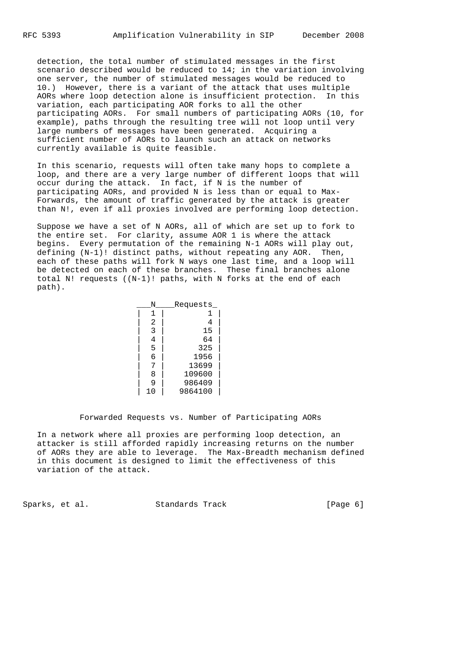detection, the total number of stimulated messages in the first scenario described would be reduced to 14; in the variation involving one server, the number of stimulated messages would be reduced to 10.) However, there is a variant of the attack that uses multiple AORs where loop detection alone is insufficient protection. In this variation, each participating AOR forks to all the other participating AORs. For small numbers of participating AORs (10, for example), paths through the resulting tree will not loop until very large numbers of messages have been generated. Acquiring a sufficient number of AORs to launch such an attack on networks currently available is quite feasible.

 In this scenario, requests will often take many hops to complete a loop, and there are a very large number of different loops that will occur during the attack. In fact, if N is the number of participating AORs, and provided N is less than or equal to Max- Forwards, the amount of traffic generated by the attack is greater than N!, even if all proxies involved are performing loop detection.

 Suppose we have a set of N AORs, all of which are set up to fork to the entire set. For clarity, assume AOR 1 is where the attack begins. Every permutation of the remaining N-1 AORs will play out, defining (N-1)! distinct paths, without repeating any AOR. Then, each of these paths will fork N ways one last time, and a loop will be detected on each of these branches. These final branches alone total N! requests  $((N-1))$ ! paths, with N forks at the end of each path).

| Ν  | Requests_ |
|----|-----------|
| 1  |           |
| 2  | 4         |
| 3  | 15        |
| 4  | 64        |
| 5  | 325       |
| 6  | 1956      |
| 7  | 13699     |
| 8  | 109600    |
| 9  | 986409    |
| 10 | 9864100   |

# Forwarded Requests vs. Number of Participating AORs

 In a network where all proxies are performing loop detection, an attacker is still afforded rapidly increasing returns on the number of AORs they are able to leverage. The Max-Breadth mechanism defined in this document is designed to limit the effectiveness of this variation of the attack.

Sparks, et al. Standards Track [Page 6]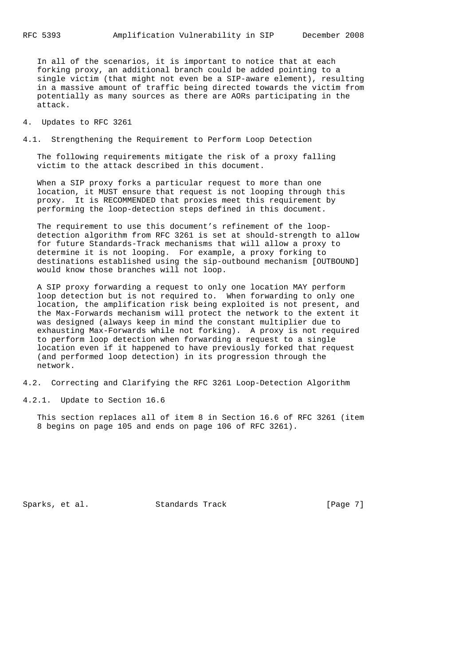In all of the scenarios, it is important to notice that at each forking proxy, an additional branch could be added pointing to a single victim (that might not even be a SIP-aware element), resulting in a massive amount of traffic being directed towards the victim from potentially as many sources as there are AORs participating in the attack.

# 4. Updates to RFC 3261

4.1. Strengthening the Requirement to Perform Loop Detection

 The following requirements mitigate the risk of a proxy falling victim to the attack described in this document.

 When a SIP proxy forks a particular request to more than one location, it MUST ensure that request is not looping through this proxy. It is RECOMMENDED that proxies meet this requirement by performing the loop-detection steps defined in this document.

 The requirement to use this document's refinement of the loop detection algorithm from RFC 3261 is set at should-strength to allow for future Standards-Track mechanisms that will allow a proxy to determine it is not looping. For example, a proxy forking to destinations established using the sip-outbound mechanism [OUTBOUND] would know those branches will not loop.

 A SIP proxy forwarding a request to only one location MAY perform loop detection but is not required to. When forwarding to only one location, the amplification risk being exploited is not present, and the Max-Forwards mechanism will protect the network to the extent it was designed (always keep in mind the constant multiplier due to exhausting Max-Forwards while not forking). A proxy is not required to perform loop detection when forwarding a request to a single location even if it happened to have previously forked that request (and performed loop detection) in its progression through the network.

4.2. Correcting and Clarifying the RFC 3261 Loop-Detection Algorithm

4.2.1. Update to Section 16.6

 This section replaces all of item 8 in Section 16.6 of RFC 3261 (item 8 begins on page 105 and ends on page 106 of RFC 3261).

Sparks, et al. Standards Track [Page 7]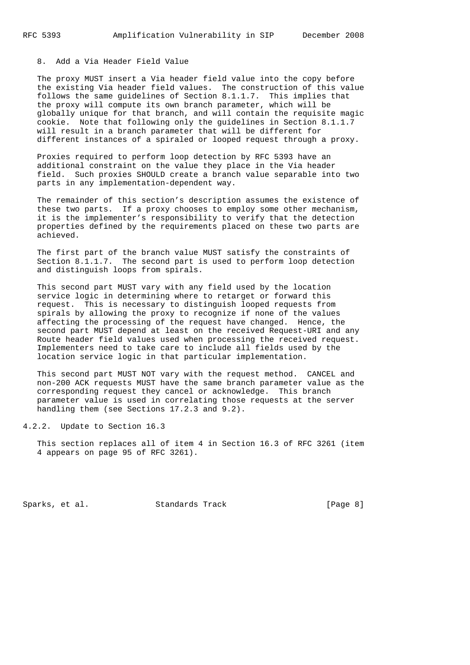# 8. Add a Via Header Field Value

 The proxy MUST insert a Via header field value into the copy before the existing Via header field values. The construction of this value follows the same guidelines of Section 8.1.1.7. This implies that the proxy will compute its own branch parameter, which will be globally unique for that branch, and will contain the requisite magic cookie. Note that following only the guidelines in Section 8.1.1.7 will result in a branch parameter that will be different for different instances of a spiraled or looped request through a proxy.

 Proxies required to perform loop detection by RFC 5393 have an additional constraint on the value they place in the Via header field. Such proxies SHOULD create a branch value separable into two parts in any implementation-dependent way.

 The remainder of this section's description assumes the existence of these two parts. If a proxy chooses to employ some other mechanism, it is the implementer's responsibility to verify that the detection properties defined by the requirements placed on these two parts are achieved.

 The first part of the branch value MUST satisfy the constraints of Section 8.1.1.7. The second part is used to perform loop detection and distinguish loops from spirals.

 This second part MUST vary with any field used by the location service logic in determining where to retarget or forward this request. This is necessary to distinguish looped requests from spirals by allowing the proxy to recognize if none of the values affecting the processing of the request have changed. Hence, the second part MUST depend at least on the received Request-URI and any Route header field values used when processing the received request. Implementers need to take care to include all fields used by the location service logic in that particular implementation.

 This second part MUST NOT vary with the request method. CANCEL and non-200 ACK requests MUST have the same branch parameter value as the corresponding request they cancel or acknowledge. This branch parameter value is used in correlating those requests at the server handling them (see Sections 17.2.3 and 9.2).

4.2.2. Update to Section 16.3

 This section replaces all of item 4 in Section 16.3 of RFC 3261 (item 4 appears on page 95 of RFC 3261).

Sparks, et al. Standards Track [Page 8]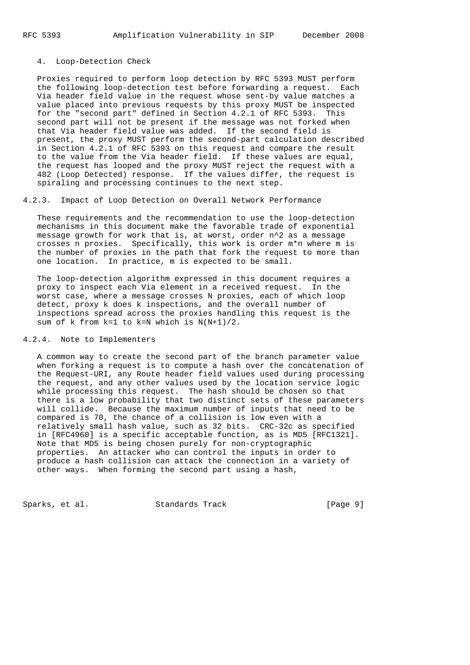# 4. Loop-Detection Check

 Proxies required to perform loop detection by RFC 5393 MUST perform the following loop-detection test before forwarding a request. Each Via header field value in the request whose sent-by value matches a value placed into previous requests by this proxy MUST be inspected for the "second part" defined in Section 4.2.1 of RFC 5393. This second part will not be present if the message was not forked when that Via header field value was added. If the second field is present, the proxy MUST perform the second-part calculation described in Section 4.2.1 of RFC 5393 on this request and compare the result to the value from the Via header field. If these values are equal, the request has looped and the proxy MUST reject the request with a 482 (Loop Detected) response. If the values differ, the request is spiraling and processing continues to the next step.

## 4.2.3. Impact of Loop Detection on Overall Network Performance

 These requirements and the recommendation to use the loop-detection mechanisms in this document make the favorable trade of exponential message growth for work that is, at worst, order n^2 as a message crosses n proxies. Specifically, this work is order m\*n where m is the number of proxies in the path that fork the request to more than one location. In practice, m is expected to be small.

 The loop-detection algorithm expressed in this document requires a proxy to inspect each Via element in a received request. In the worst case, where a message crosses N proxies, each of which loop detect, proxy k does k inspections, and the overall number of inspections spread across the proxies handling this request is the sum of  $k$  from  $k=1$  to  $k=N$  which is  $N(N+1)/2$ .

# 4.2.4. Note to Implementers

 A common way to create the second part of the branch parameter value when forking a request is to compute a hash over the concatenation of the Request-URI, any Route header field values used during processing the request, and any other values used by the location service logic while processing this request. The hash should be chosen so that there is a low probability that two distinct sets of these parameters will collide. Because the maximum number of inputs that need to be compared is 70, the chance of a collision is low even with a relatively small hash value, such as 32 bits. CRC-32c as specified in [RFC4960] is a specific acceptable function, as is MD5 [RFC1321]. Note that MD5 is being chosen purely for non-cryptographic properties. An attacker who can control the inputs in order to produce a hash collision can attack the connection in a variety of other ways. When forming the second part using a hash,

Sparks, et al. Standards Track [Page 9]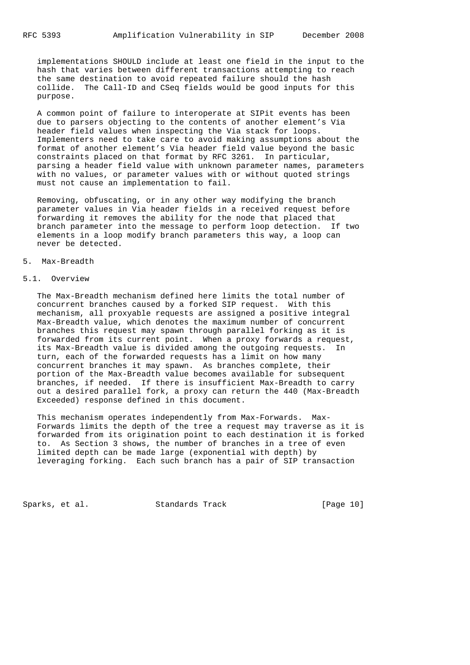implementations SHOULD include at least one field in the input to the hash that varies between different transactions attempting to reach the same destination to avoid repeated failure should the hash collide. The Call-ID and CSeq fields would be good inputs for this purpose.

 A common point of failure to interoperate at SIPit events has been due to parsers objecting to the contents of another element's Via header field values when inspecting the Via stack for loops. Implementers need to take care to avoid making assumptions about the format of another element's Via header field value beyond the basic constraints placed on that format by RFC 3261. In particular, parsing a header field value with unknown parameter names, parameters with no values, or parameter values with or without quoted strings must not cause an implementation to fail.

 Removing, obfuscating, or in any other way modifying the branch parameter values in Via header fields in a received request before forwarding it removes the ability for the node that placed that branch parameter into the message to perform loop detection. If two elements in a loop modify branch parameters this way, a loop can never be detected.

## 5. Max-Breadth

# 5.1. Overview

 The Max-Breadth mechanism defined here limits the total number of concurrent branches caused by a forked SIP request. With this mechanism, all proxyable requests are assigned a positive integral Max-Breadth value, which denotes the maximum number of concurrent branches this request may spawn through parallel forking as it is forwarded from its current point. When a proxy forwards a request, its Max-Breadth value is divided among the outgoing requests. In turn, each of the forwarded requests has a limit on how many concurrent branches it may spawn. As branches complete, their portion of the Max-Breadth value becomes available for subsequent branches, if needed. If there is insufficient Max-Breadth to carry out a desired parallel fork, a proxy can return the 440 (Max-Breadth Exceeded) response defined in this document.

 This mechanism operates independently from Max-Forwards. Max- Forwards limits the depth of the tree a request may traverse as it is forwarded from its origination point to each destination it is forked to. As Section 3 shows, the number of branches in a tree of even limited depth can be made large (exponential with depth) by leveraging forking. Each such branch has a pair of SIP transaction

Sparks, et al. Standards Track [Page 10]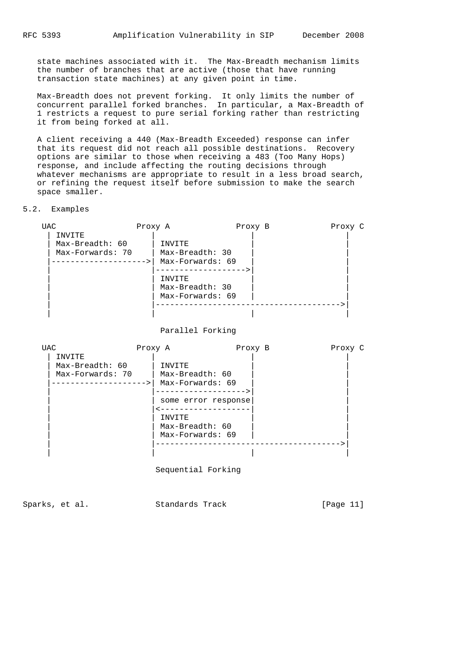state machines associated with it. The Max-Breadth mechanism limits the number of branches that are active (those that have running transaction state machines) at any given point in time.

 Max-Breadth does not prevent forking. It only limits the number of concurrent parallel forked branches. In particular, a Max-Breadth of 1 restricts a request to pure serial forking rather than restricting it from being forked at all.

 A client receiving a 440 (Max-Breadth Exceeded) response can infer that its request did not reach all possible destinations. Recovery options are similar to those when receiving a 483 (Too Many Hops) response, and include affecting the routing decisions through whatever mechanisms are appropriate to result in a less broad search, or refining the request itself before submission to make the search space smaller.

5.2. Examples







Sequential Forking

Sparks, et al. Standards Track [Page 11]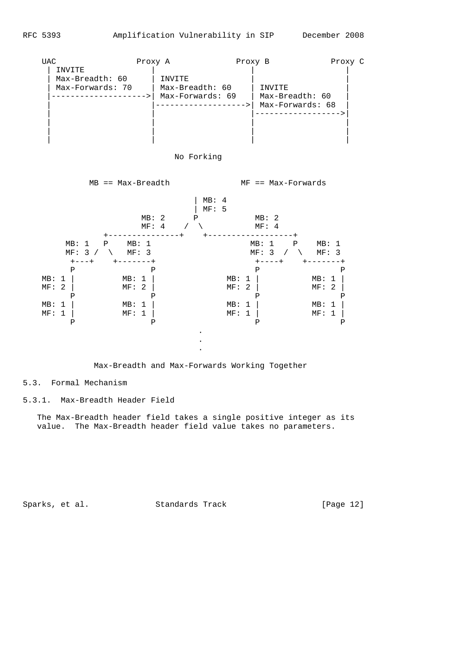

## No Forking



Max-Breadth and Max-Forwards Working Together

5.3. Formal Mechanism

5.3.1. Max-Breadth Header Field

 The Max-Breadth header field takes a single positive integer as its value. The Max-Breadth header field value takes no parameters.

Sparks, et al. Standards Track [Page 12]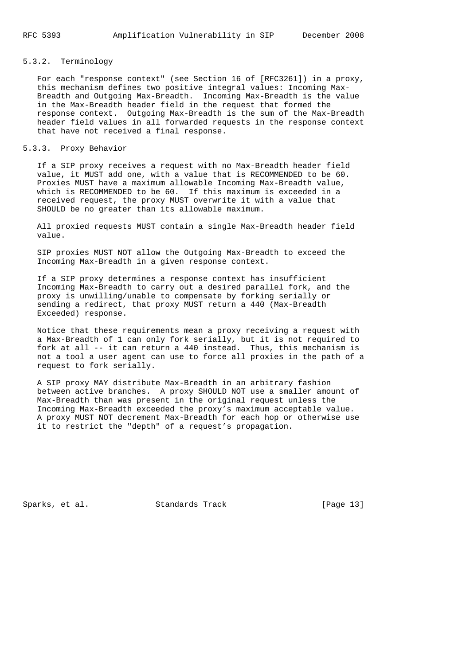# 5.3.2. Terminology

 For each "response context" (see Section 16 of [RFC3261]) in a proxy, this mechanism defines two positive integral values: Incoming Max- Breadth and Outgoing Max-Breadth. Incoming Max-Breadth is the value in the Max-Breadth header field in the request that formed the response context. Outgoing Max-Breadth is the sum of the Max-Breadth header field values in all forwarded requests in the response context that have not received a final response.

## 5.3.3. Proxy Behavior

 If a SIP proxy receives a request with no Max-Breadth header field value, it MUST add one, with a value that is RECOMMENDED to be 60. Proxies MUST have a maximum allowable Incoming Max-Breadth value, which is RECOMMENDED to be 60. If this maximum is exceeded in a received request, the proxy MUST overwrite it with a value that SHOULD be no greater than its allowable maximum.

 All proxied requests MUST contain a single Max-Breadth header field value.

 SIP proxies MUST NOT allow the Outgoing Max-Breadth to exceed the Incoming Max-Breadth in a given response context.

 If a SIP proxy determines a response context has insufficient Incoming Max-Breadth to carry out a desired parallel fork, and the proxy is unwilling/unable to compensate by forking serially or sending a redirect, that proxy MUST return a 440 (Max-Breadth Exceeded) response.

 Notice that these requirements mean a proxy receiving a request with a Max-Breadth of 1 can only fork serially, but it is not required to fork at all -- it can return a 440 instead. Thus, this mechanism is not a tool a user agent can use to force all proxies in the path of a request to fork serially.

 A SIP proxy MAY distribute Max-Breadth in an arbitrary fashion between active branches. A proxy SHOULD NOT use a smaller amount of Max-Breadth than was present in the original request unless the Incoming Max-Breadth exceeded the proxy's maximum acceptable value. A proxy MUST NOT decrement Max-Breadth for each hop or otherwise use it to restrict the "depth" of a request's propagation.

Sparks, et al. Standards Track [Page 13]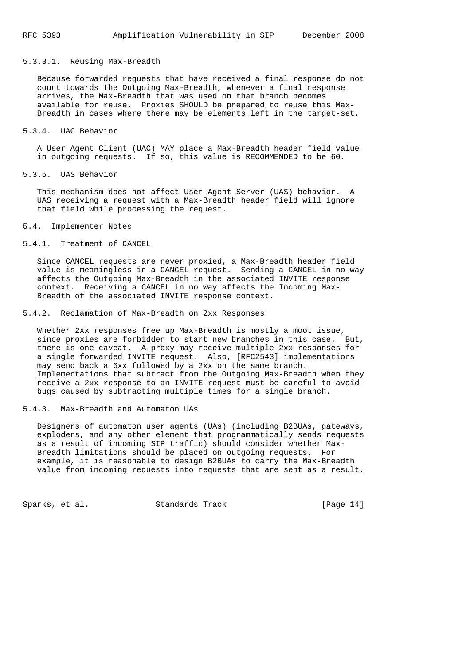# 5.3.3.1. Reusing Max-Breadth

 Because forwarded requests that have received a final response do not count towards the Outgoing Max-Breadth, whenever a final response arrives, the Max-Breadth that was used on that branch becomes available for reuse. Proxies SHOULD be prepared to reuse this Max- Breadth in cases where there may be elements left in the target-set.

#### 5.3.4. UAC Behavior

 A User Agent Client (UAC) MAY place a Max-Breadth header field value in outgoing requests. If so, this value is RECOMMENDED to be 60.

#### 5.3.5. UAS Behavior

 This mechanism does not affect User Agent Server (UAS) behavior. A UAS receiving a request with a Max-Breadth header field will ignore that field while processing the request.

5.4. Implementer Notes

#### 5.4.1. Treatment of CANCEL

 Since CANCEL requests are never proxied, a Max-Breadth header field value is meaningless in a CANCEL request. Sending a CANCEL in no way affects the Outgoing Max-Breadth in the associated INVITE response context. Receiving a CANCEL in no way affects the Incoming Max- Breadth of the associated INVITE response context.

#### 5.4.2. Reclamation of Max-Breadth on 2xx Responses

 Whether 2xx responses free up Max-Breadth is mostly a moot issue, since proxies are forbidden to start new branches in this case. But, there is one caveat. A proxy may receive multiple 2xx responses for a single forwarded INVITE request. Also, [RFC2543] implementations may send back a 6xx followed by a 2xx on the same branch. Implementations that subtract from the Outgoing Max-Breadth when they receive a 2xx response to an INVITE request must be careful to avoid bugs caused by subtracting multiple times for a single branch.

#### 5.4.3. Max-Breadth and Automaton UAs

 Designers of automaton user agents (UAs) (including B2BUAs, gateways, exploders, and any other element that programmatically sends requests as a result of incoming SIP traffic) should consider whether Max- Breadth limitations should be placed on outgoing requests. For example, it is reasonable to design B2BUAs to carry the Max-Breadth value from incoming requests into requests that are sent as a result.

Sparks, et al. Standards Track [Page 14]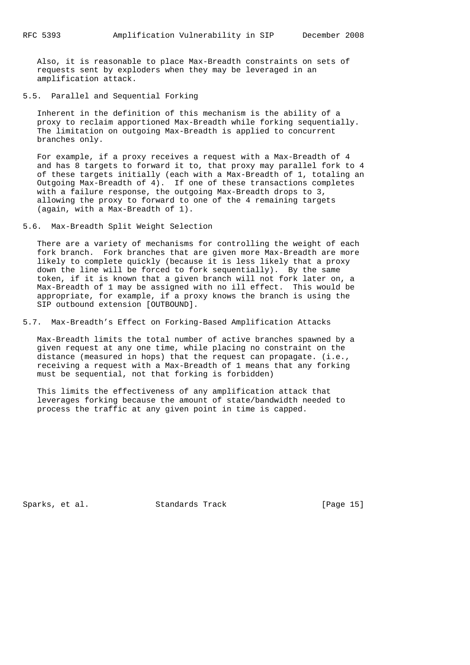Also, it is reasonable to place Max-Breadth constraints on sets of requests sent by exploders when they may be leveraged in an amplification attack.

5.5. Parallel and Sequential Forking

 Inherent in the definition of this mechanism is the ability of a proxy to reclaim apportioned Max-Breadth while forking sequentially. The limitation on outgoing Max-Breadth is applied to concurrent branches only.

 For example, if a proxy receives a request with a Max-Breadth of 4 and has 8 targets to forward it to, that proxy may parallel fork to 4 of these targets initially (each with a Max-Breadth of 1, totaling an Outgoing Max-Breadth of 4). If one of these transactions completes with a failure response, the outgoing Max-Breadth drops to 3, allowing the proxy to forward to one of the 4 remaining targets (again, with a Max-Breadth of 1).

5.6. Max-Breadth Split Weight Selection

 There are a variety of mechanisms for controlling the weight of each fork branch. Fork branches that are given more Max-Breadth are more likely to complete quickly (because it is less likely that a proxy down the line will be forced to fork sequentially). By the same token, if it is known that a given branch will not fork later on, a Max-Breadth of 1 may be assigned with no ill effect. This would be appropriate, for example, if a proxy knows the branch is using the SIP outbound extension [OUTBOUND].

5.7. Max-Breadth's Effect on Forking-Based Amplification Attacks

 Max-Breadth limits the total number of active branches spawned by a given request at any one time, while placing no constraint on the distance (measured in hops) that the request can propagate. (i.e., receiving a request with a Max-Breadth of 1 means that any forking must be sequential, not that forking is forbidden)

 This limits the effectiveness of any amplification attack that leverages forking because the amount of state/bandwidth needed to process the traffic at any given point in time is capped.

Sparks, et al. Standards Track [Page 15]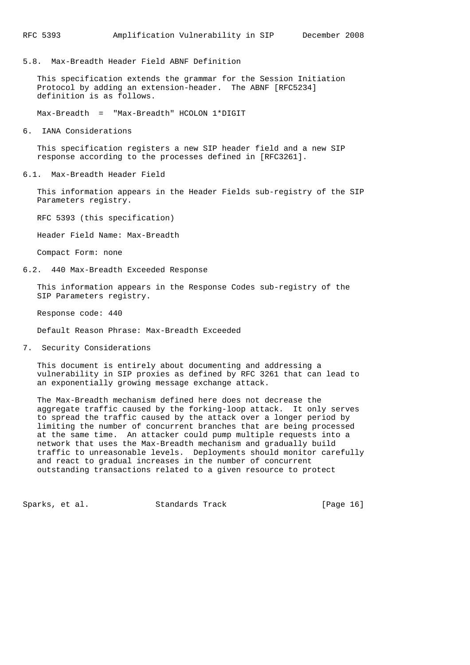5.8. Max-Breadth Header Field ABNF Definition

 This specification extends the grammar for the Session Initiation Protocol by adding an extension-header. The ABNF [RFC5234] definition is as follows.

Max-Breadth = "Max-Breadth" HCOLON 1\*DIGIT

6. IANA Considerations

 This specification registers a new SIP header field and a new SIP response according to the processes defined in [RFC3261].

6.1. Max-Breadth Header Field

 This information appears in the Header Fields sub-registry of the SIP Parameters registry.

RFC 5393 (this specification)

Header Field Name: Max-Breadth

Compact Form: none

6.2. 440 Max-Breadth Exceeded Response

 This information appears in the Response Codes sub-registry of the SIP Parameters registry.

Response code: 440

Default Reason Phrase: Max-Breadth Exceeded

7. Security Considerations

 This document is entirely about documenting and addressing a vulnerability in SIP proxies as defined by RFC 3261 that can lead to an exponentially growing message exchange attack.

 The Max-Breadth mechanism defined here does not decrease the aggregate traffic caused by the forking-loop attack. It only serves to spread the traffic caused by the attack over a longer period by limiting the number of concurrent branches that are being processed at the same time. An attacker could pump multiple requests into a network that uses the Max-Breadth mechanism and gradually build traffic to unreasonable levels. Deployments should monitor carefully and react to gradual increases in the number of concurrent outstanding transactions related to a given resource to protect

Sparks, et al. Standards Track [Page 16]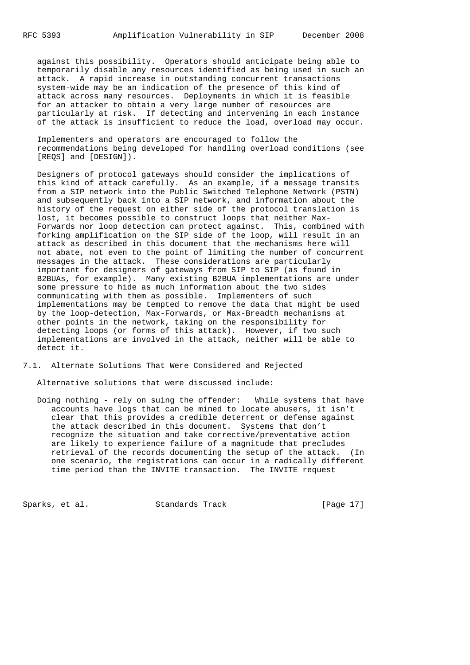against this possibility. Operators should anticipate being able to temporarily disable any resources identified as being used in such an attack. A rapid increase in outstanding concurrent transactions system-wide may be an indication of the presence of this kind of attack across many resources. Deployments in which it is feasible for an attacker to obtain a very large number of resources are particularly at risk. If detecting and intervening in each instance of the attack is insufficient to reduce the load, overload may occur.

 Implementers and operators are encouraged to follow the recommendations being developed for handling overload conditions (see [REQS] and [DESIGN]).

 Designers of protocol gateways should consider the implications of this kind of attack carefully. As an example, if a message transits from a SIP network into the Public Switched Telephone Network (PSTN) and subsequently back into a SIP network, and information about the history of the request on either side of the protocol translation is lost, it becomes possible to construct loops that neither Max- Forwards nor loop detection can protect against. This, combined with forking amplification on the SIP side of the loop, will result in an attack as described in this document that the mechanisms here will not abate, not even to the point of limiting the number of concurrent messages in the attack. These considerations are particularly important for designers of gateways from SIP to SIP (as found in B2BUAs, for example). Many existing B2BUA implementations are under some pressure to hide as much information about the two sides communicating with them as possible. Implementers of such implementations may be tempted to remove the data that might be used by the loop-detection, Max-Forwards, or Max-Breadth mechanisms at other points in the network, taking on the responsibility for detecting loops (or forms of this attack). However, if two such implementations are involved in the attack, neither will be able to detect it.

7.1. Alternate Solutions That Were Considered and Rejected

Alternative solutions that were discussed include:

 Doing nothing - rely on suing the offender: While systems that have accounts have logs that can be mined to locate abusers, it isn't clear that this provides a credible deterrent or defense against the attack described in this document. Systems that don't recognize the situation and take corrective/preventative action are likely to experience failure of a magnitude that precludes retrieval of the records documenting the setup of the attack. (In one scenario, the registrations can occur in a radically different time period than the INVITE transaction. The INVITE request

Sparks, et al. Standards Track [Page 17]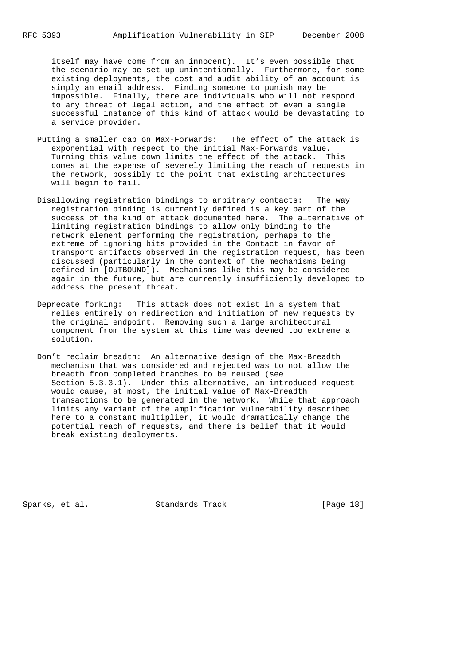itself may have come from an innocent). It's even possible that the scenario may be set up unintentionally. Furthermore, for some existing deployments, the cost and audit ability of an account is simply an email address. Finding someone to punish may be impossible. Finally, there are individuals who will not respond to any threat of legal action, and the effect of even a single successful instance of this kind of attack would be devastating to a service provider.

- Putting a smaller cap on Max-Forwards: The effect of the attack is exponential with respect to the initial Max-Forwards value. Turning this value down limits the effect of the attack. This comes at the expense of severely limiting the reach of requests in the network, possibly to the point that existing architectures will begin to fail.
- Disallowing registration bindings to arbitrary contacts: The way registration binding is currently defined is a key part of the success of the kind of attack documented here. The alternative of limiting registration bindings to allow only binding to the network element performing the registration, perhaps to the extreme of ignoring bits provided in the Contact in favor of transport artifacts observed in the registration request, has been discussed (particularly in the context of the mechanisms being defined in [OUTBOUND]). Mechanisms like this may be considered again in the future, but are currently insufficiently developed to address the present threat.
	- Deprecate forking: This attack does not exist in a system that relies entirely on redirection and initiation of new requests by the original endpoint. Removing such a large architectural component from the system at this time was deemed too extreme a solution.
	- Don't reclaim breadth: An alternative design of the Max-Breadth mechanism that was considered and rejected was to not allow the breadth from completed branches to be reused (see Section 5.3.3.1). Under this alternative, an introduced request would cause, at most, the initial value of Max-Breadth transactions to be generated in the network. While that approach limits any variant of the amplification vulnerability described here to a constant multiplier, it would dramatically change the potential reach of requests, and there is belief that it would break existing deployments.

Sparks, et al. Standards Track [Page 18]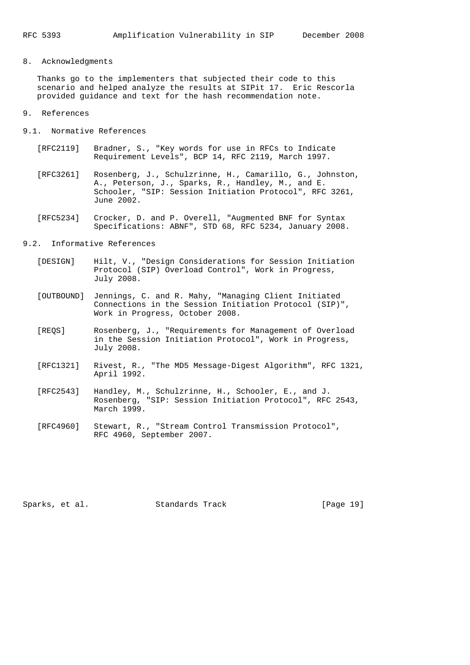# 8. Acknowledgments

 Thanks go to the implementers that subjected their code to this scenario and helped analyze the results at SIPit 17. Eric Rescorla provided guidance and text for the hash recommendation note.

## 9. References

- 9.1. Normative References
	- [RFC2119] Bradner, S., "Key words for use in RFCs to Indicate Requirement Levels", BCP 14, RFC 2119, March 1997.
	- [RFC3261] Rosenberg, J., Schulzrinne, H., Camarillo, G., Johnston, A., Peterson, J., Sparks, R., Handley, M., and E. Schooler, "SIP: Session Initiation Protocol", RFC 3261, June 2002.
	- [RFC5234] Crocker, D. and P. Overell, "Augmented BNF for Syntax Specifications: ABNF", STD 68, RFC 5234, January 2008.

#### 9.2. Informative References

- [DESIGN] Hilt, V., "Design Considerations for Session Initiation Protocol (SIP) Overload Control", Work in Progress, July 2008.
- [OUTBOUND] Jennings, C. and R. Mahy, "Managing Client Initiated Connections in the Session Initiation Protocol (SIP)", Work in Progress, October 2008.
- [REQS] Rosenberg, J., "Requirements for Management of Overload in the Session Initiation Protocol", Work in Progress, July 2008.
- [RFC1321] Rivest, R., "The MD5 Message-Digest Algorithm", RFC 1321, April 1992.
- [RFC2543] Handley, M., Schulzrinne, H., Schooler, E., and J. Rosenberg, "SIP: Session Initiation Protocol", RFC 2543, March 1999.
- [RFC4960] Stewart, R., "Stream Control Transmission Protocol", RFC 4960, September 2007.

Sparks, et al. Standards Track [Page 19]